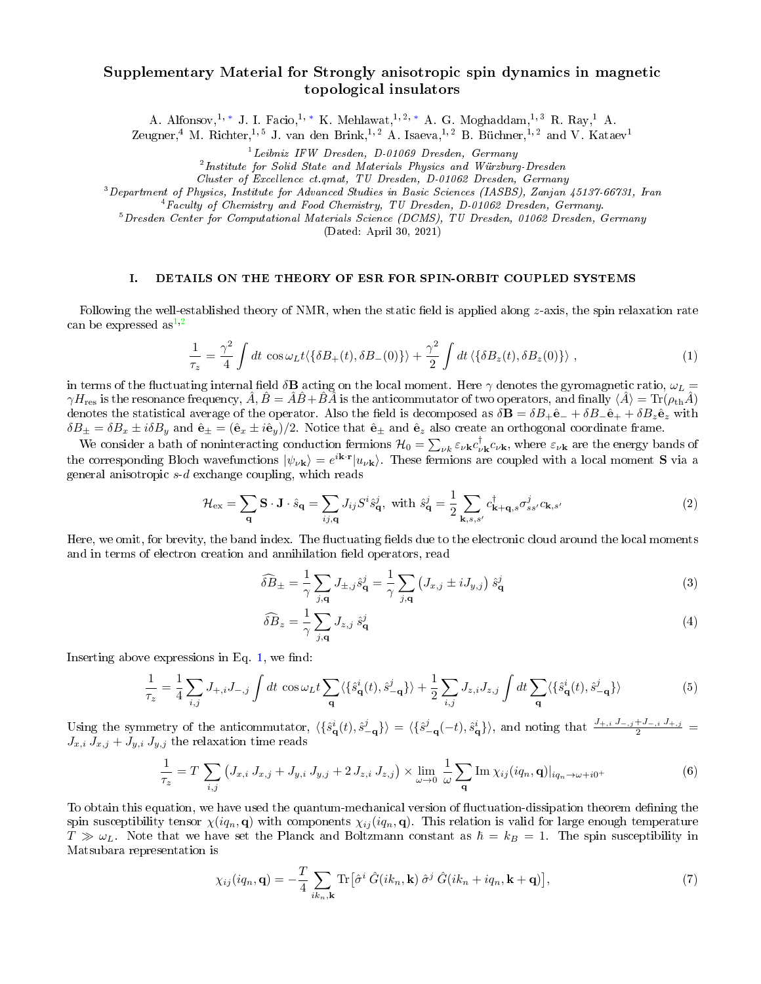# Supplementary Material for Strongly anisotropic spin dynamics in magnetic topological insulators

A. Alfonsov,<sup>1, \*</sup> J. I. Facio,<sup>1, \*</sup> K. Mehlawat,<sup>1,2, \*</sup> A. G. Moghaddam,<sup>1,3</sup> R. Ray,<sup>1</sup> A.

Zeugner,<sup>4</sup> M. Richter,<sup>1, 5</sup> J. van den Brink,<sup>1, 2</sup> A. Isaeva,<sup>1, 2</sup> B. Büchner,<sup>1, 2</sup> and V. Kataev<sup>1</sup>

 ${}^{1}Leibniz$  IFW Dresden, D-01069 Dresden, Germany

<sup>2</sup> Institute for Solid State and Materials Physics and Würzburg-Dresden

Cluster of Excellence ct.qmat, TU Dresden, D-01062 Dresden, Germany

<sup>3</sup>Department of Physics, Institute for Advanced Studies in Basic Sciences (IASBS), Zanjan 45137-66731, Iran

<sup>4</sup>Faculty of Chemistry and Food Chemistry, TU Dresden, D-01062 Dresden, Germany.

 $5$  Dresden Center for Computational Materials Science (DCMS), TU Dresden, 01062 Dresden, Germany

(Dated: April 30, 2021)

# I. DETAILS ON THE THEORY OF ESR FOR SPIN-ORBIT COUPLED SYSTEMS

Following the well-established theory of NMR, when the static field is applied along  $z$ -axis, the spin relaxation rate can be expressed as  $1,2$  $1,2$ 

<span id="page-0-0"></span>
$$
\frac{1}{\tau_z} = \frac{\gamma^2}{4} \int dt \cos \omega_L t \langle {\delta B_+(t), \delta B_-(0)} \rangle + \frac{\gamma^2}{2} \int dt \langle {\delta B_z(t), \delta B_z(0)} \rangle , \qquad (1)
$$

in terms of the fluctuating internal field  $\delta$ **B** acting on the local moment. Here  $\gamma$  denotes the gyromagnetic ratio,  $\omega_L$  $\gamma H_{\rm res}$  is the resonance frequency,  $\ddot{A}, \ddot{B} = \ddot{A}\dot{B} + \ddot{B}\dot{A}$  is the anticommutator of two operators, and finally  $\langle \dot{A} \rangle = \text{Tr}(\rho_{\rm th}\dot{A})$ denotes the statistical average of the operator. Also the field is decomposed as  $\delta \mathbf{B} = \delta B_+\hat{\mathbf{e}}_+ + \delta B_-\hat{\mathbf{e}}_+ + \delta B_z\hat{\mathbf{e}}_z$  with  $\delta B_{\pm} = \delta B_x \pm i \delta B_y$  and  $\hat{\mathbf{e}}_{\pm} = (\hat{\mathbf{e}}_x \pm i \hat{\mathbf{e}}_y)/2$ . Notice that  $\hat{\mathbf{e}}_{\pm}$  and  $\hat{\mathbf{e}}_z$  also create an orthogonal coordinate frame.

We consider a bath of noninteracting conduction fermions  $\mathcal{H}_0 = \sum_{\nu k} \varepsilon_{\nu \mathbf{k}} c_{\nu \mathbf{k}}^{\dagger} c_{\nu \mathbf{k}}$ , where  $\varepsilon_{\nu \mathbf{k}}$  are the energy bands of the corresponding Bloch wavefunctions  $|\psi_{\nu\mathbf{k}}\rangle=e^{i\mathbf{k}\cdot\mathbf{r}}|u_{\nu\mathbf{k}}\rangle$ . These fermions are coupled with a local moment **S** via a general anisotropic  $s-d$  exchange coupling, which reads

$$
\mathcal{H}_{\rm ex} = \sum_{\mathbf{q}} \mathbf{S} \cdot \mathbf{J} \cdot \hat{s}_{\mathbf{q}} = \sum_{ij,\mathbf{q}} J_{ij} S^i \hat{s}_{\mathbf{q}}^j, \text{ with } \hat{s}_{\mathbf{q}}^j = \frac{1}{2} \sum_{\mathbf{k},s,s'} c_{\mathbf{k}+\mathbf{q},s}^\dagger \sigma_{ss'}^j c_{\mathbf{k},s'} \tag{2}
$$

Here, we omit, for brevity, the band index. The fluctuating fields due to the electronic cloud around the local moments and in terms of electron creation and annihilation field operators, read

<span id="page-0-1"></span>
$$
\widehat{\delta B}_{\pm} = \frac{1}{\gamma} \sum_{j,\mathbf{q}} J_{\pm,j} \hat{s}_{\mathbf{q}}^j = \frac{1}{\gamma} \sum_{j,\mathbf{q}} \left( J_{x,j} \pm i J_{y,j} \right) \hat{s}_{\mathbf{q}}^j \tag{3}
$$

$$
\widehat{\delta B}_z = \frac{1}{\gamma} \sum_{j,\mathbf{q}} J_{z,j} \ \hat{s}_{\mathbf{q}}^j \tag{4}
$$

Inserting above expressions in Eq.  $1$ , we find:

$$
\frac{1}{\tau_z} = \frac{1}{4} \sum_{i,j} J_{+,i} J_{-,j} \int dt \cos \omega_L t \sum_{\mathbf{q}} \langle \{\hat{s}_{\mathbf{q}}^i(t), \hat{s}_{-\mathbf{q}}^j\} \rangle + \frac{1}{2} \sum_{i,j} J_{z,i} J_{z,j} \int dt \sum_{\mathbf{q}} \langle \{\hat{s}_{\mathbf{q}}^i(t), \hat{s}_{-\mathbf{q}}^j\} \rangle \tag{5}
$$

Using the symmetry of the anticommutator,  $\langle \{\hat{s}_{\mathbf{q}}^{i}(t), \hat{s}_{-\mathbf{q}}^{j}\}\rangle = \langle \{\hat{s}_{-\mathbf{q}}^{j}(-t), \hat{s}_{\mathbf{q}}^{i}\}\rangle$ , and noting that  $\frac{J_{+,i} J_{-,j} + J_{-,i} J_{+,j}}{2}$  $J_{x,i}$ ,  $J_{x,j}$  +  $J_{y,i}$ ,  $J_{y,j}$  the relaxation time reads

$$
\frac{1}{\tau_z} = T \sum_{i,j} \left( J_{x,i} J_{x,j} + J_{y,i} J_{y,j} + 2 J_{z,i} J_{z,j} \right) \times \lim_{\omega \to 0} \frac{1}{\omega} \sum_{\mathbf{q}} \text{Im} \, \chi_{ij} (iq_n, \mathbf{q}) |_{iq_n \to \omega + i0^+}
$$
(6)

To obtain this equation, we have used the quantum-mechanical version of fluctuation-dissipation theorem defining the spin susceptibility tensor  $\chi(iq_n, \mathbf{q})$  with components  $\chi_{ij}(iq_n, \mathbf{q})$ . This relation is valid for large enough temperature  $T \gg \omega_L$ . Note that we have set the Planck and Boltzmann constant as  $\hbar = k_B = 1$ . The spin susceptibility in Matsubara representation is

$$
\chi_{ij}(iq_n, \mathbf{q}) = -\frac{T}{4} \sum_{ik_n, \mathbf{k}} \text{Tr} \left[ \hat{\sigma}^i \hat{G}(ik_n, \mathbf{k}) \hat{\sigma}^j \hat{G}(ik_n + iq_n, \mathbf{k} + \mathbf{q}) \right],\tag{7}
$$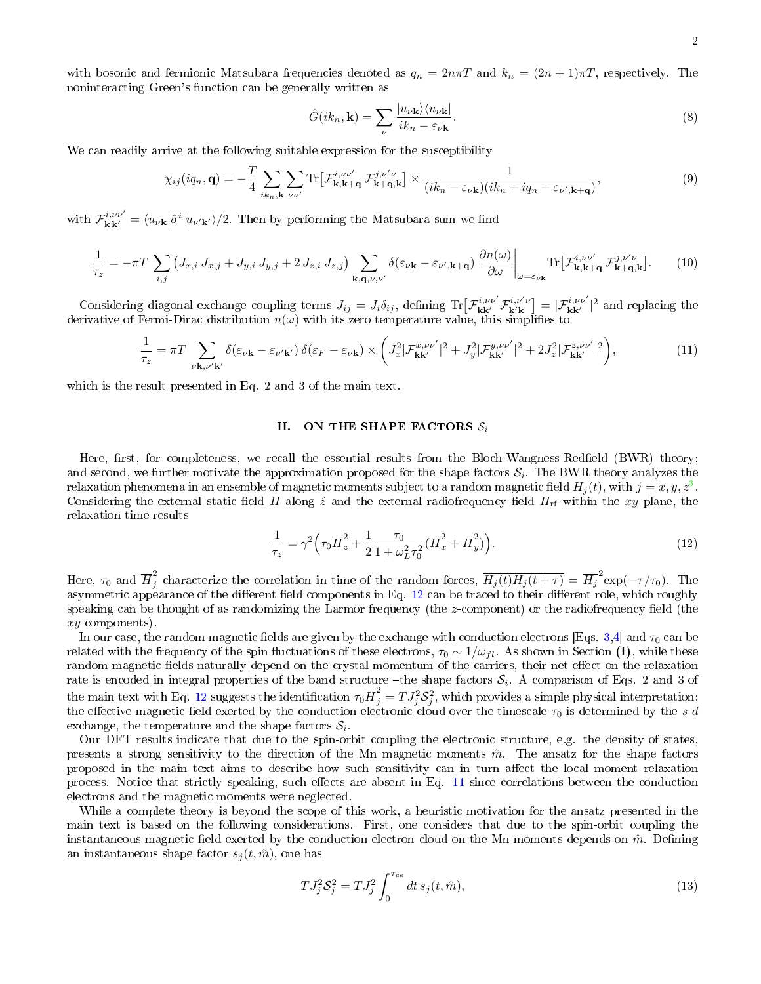with bosonic and fermionic Matsubara frequencies denoted as  $q_n = 2n\pi T$  and  $k_n = (2n + 1)\pi T$ , respectively. The noninteracting Green's function can be generally written as

$$
\hat{G}(ik_n, \mathbf{k}) = \sum_{\nu} \frac{|u_{\nu \mathbf{k}}\rangle \langle u_{\nu \mathbf{k}}|}{ik_n - \varepsilon_{\nu \mathbf{k}}}.
$$
\n(8)

We can readily arrive at the following suitable expression for the susceptibility

$$
\chi_{ij}(iq_n, \mathbf{q}) = -\frac{T}{4} \sum_{ik_n, \mathbf{k}} \sum_{\nu \nu'} \text{Tr} \left[ \mathcal{F}_{\mathbf{k}, \mathbf{k} + \mathbf{q}}^{i, \nu' \nu} \mathcal{F}_{\mathbf{k} + \mathbf{q}, \mathbf{k}}^{j, \nu' \nu} \right] \times \frac{1}{(ik_n - \varepsilon_{\nu \mathbf{k}})(ik_n + iq_n - \varepsilon_{\nu', \mathbf{k} + \mathbf{q}})},\tag{9}
$$

with  $\mathcal{F}_{\mathbf{k}\mathbf{k'}}^{i,\nu\nu'} = \langle u_{\nu\mathbf{k}}|\hat{\sigma}^i|u_{\nu'\mathbf{k'}}\rangle/2$ . Then by performing the Matsubara sum we find

$$
\frac{1}{\tau_z} = -\pi T \sum_{i,j} \left( J_{x,i} J_{x,j} + J_{y,i} J_{y,j} + 2 J_{z,i} J_{z,j} \right) \sum_{\mathbf{k}, \mathbf{q}, \nu, \nu'} \delta(\varepsilon_{\nu \mathbf{k}} - \varepsilon_{\nu', \mathbf{k} + \mathbf{q}}) \left. \frac{\partial n(\omega)}{\partial \omega} \right|_{\omega = \varepsilon_{\nu \mathbf{k}}} \text{Tr} \left[ \mathcal{F}_{\mathbf{k}, \mathbf{k} + \mathbf{q}}^{i, \nu \nu'} \mathcal{F}_{\mathbf{k} + \mathbf{q}, \mathbf{k}}^{j, \nu' \nu} \right]. \tag{10}
$$

Considering diagonal exchange coupling terms  $J_{ij} = J_i \delta_{ij}$ , defining  $\text{Tr}\left[\mathcal{F}^{i,\nu\nu'}_{\mathbf{k}\mathbf{k'}}\mathcal{F}^{i,\nu'\nu'}_{\mathbf{k'k'}}\right] = |\mathcal{F}^{i,\nu\nu'}_{\mathbf{k}\mathbf{k'}}|^2$  and replacing the derivative of Fermi-Dirac distribution  $n(\omega)$  with its zero temperature value, this simplifies to

<span id="page-1-1"></span>
$$
\frac{1}{\tau_z} = \pi T \sum_{\nu \mathbf{k}, \nu' \mathbf{k'}} \delta(\varepsilon_{\nu \mathbf{k}} - \varepsilon_{\nu' \mathbf{k'}}) \delta(\varepsilon_F - \varepsilon_{\nu \mathbf{k}}) \times \left( J_x^2 | \mathcal{F}_{\mathbf{k} \mathbf{k'}}^{x, \nu \nu'}|^2 + J_y^2 | \mathcal{F}_{\mathbf{k} \mathbf{k'}}^{y, \nu \nu'}|^2 + 2J_z^2 | \mathcal{F}_{\mathbf{k} \mathbf{k'}}^{z, \nu \nu'}|^2 \right),\tag{11}
$$

which is the result presented in Eq. 2 and 3 of the main text.

# II. ON THE SHAPE FACTORS  $S_i$

Here, first, for completeness, we recall the essential results from the Bloch-Wangness-Redfield (BWR) theory; and second, we further motivate the approximation proposed for the shape factors  $\mathcal{S}_i$ . The BWR theory analyzes the relaxation phenomena in an ensemble of magnetic moments subject to a random magnetic field  $H_j(t)$ , with  $j=x,y,z^3.$  $j=x,y,z^3.$  $j=x,y,z^3.$ Considering the external static field H along  $\hat{z}$  and the external radiofrequency field  $H_{\text{rf}}$  within the xy plane, the relaxation time results

<span id="page-1-0"></span>
$$
\frac{1}{\tau_z} = \gamma^2 \left( \tau_0 \overline{H}_z^2 + \frac{1}{2} \frac{\tau_0}{1 + \omega_L^2 \tau_0^2} (\overline{H}_x^2 + \overline{H}_y^2) \right).
$$
(12)

Here,  $\tau_0$  and  $\overline{H}^2_{\ i}$ <sup>2</sup> characterize the correlation in time of the random forces,  $\overline{H_j(t)H_j(t+\tau)} = \overline{H_j}^2 \exp(-\tau/\tau_0)$ . The asymmetric appearance of the different field components in Eq. [12](#page-1-0) can be traced to their different role, which roughly speaking can be thought of as randomizing the Larmor frequency (the z-component) or the radiofrequency field (the  $xy$  components).

In our case, the random magnetic fields are given by the exchange with conduction electrons [Eqs. [3,4\]](#page-0-1) and  $\tau_0$  can be related with the frequency of the spin fluctuations of these electrons,  $\tau_0 \sim 1/\omega_{fl}$ . As shown in Section (I), while these random magnetic fields naturally depend on the crystal momentum of the carriers, their net effect on the relaxation rate is encoded in integral properties of the band structure –the shape factors  $\mathcal{S}_i$ . A comparison of Eqs. 2 and 3 of the main text with Eq.  $12$  suggests the identification  $\tau_0\overline{H}^2_j=TJ^2_j{\cal S}^2_j,$  which provides a simple physical interpretation: the effective magnetic field exerted by the conduction electronic cloud over the timescale  $\tau_0$  is determined by the  $s\text{-}d$ exchange, the temperature and the shape factors  $S_i$ .

Our DFT results indicate that due to the spin-orbit coupling the electronic structure, e.g. the density of states, presents a strong sensitivity to the direction of the Mn magnetic moments  $\hat{m}$ . The ansatz for the shape factors proposed in the main text aims to describe how such sensitivity can in turn affect the local moment relaxation process. Notice that strictly speaking, such effects are absent in Eq. [11](#page-1-1) since correlations between the conduction electrons and the magnetic moments were neglected.

While a complete theory is beyond the scope of this work, a heuristic motivation for the ansatz presented in the main text is based on the following considerations. First, one considers that due to the spin-orbit coupling the instantaneous magnetic field exerted by the conduction electron cloud on the Mn moments depends on  $\hat{m}$ . Defining an instantaneous shape factor  $s_i(t, \hat{m})$ , one has

$$
T J_j^2 S_j^2 = T J_j^2 \int_0^{\tau_{ce}} dt \, s_j(t, \hat{m}), \tag{13}
$$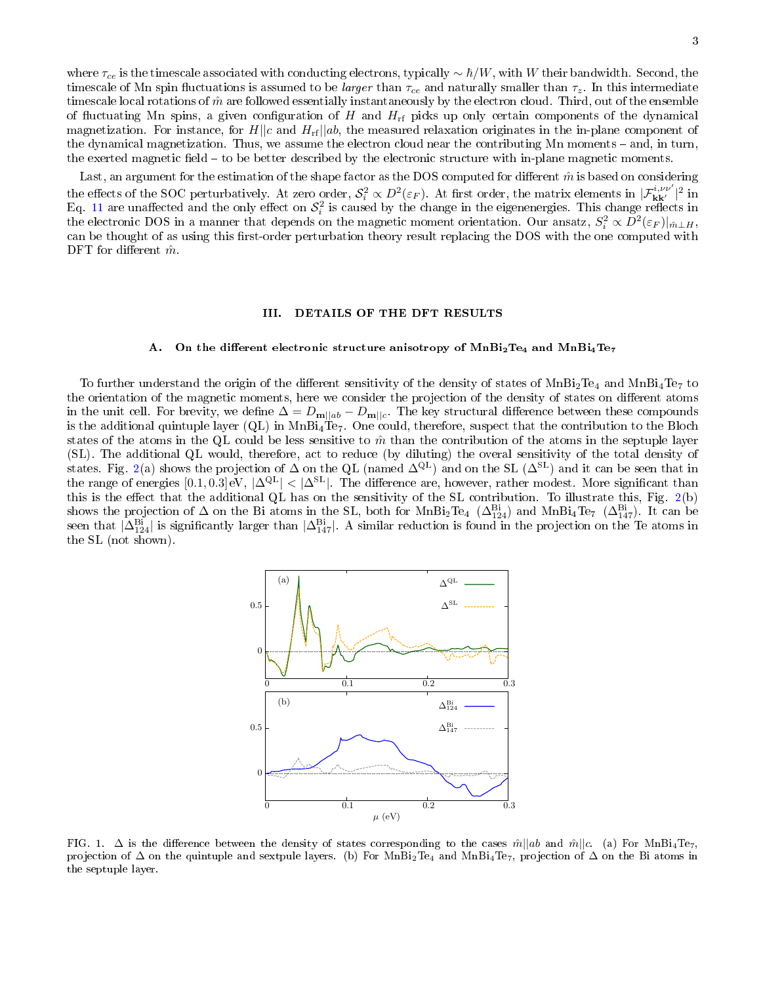where  $\tau_{ce}$  is the timescale associated with conducting electrons, typically ~  $\hbar/W$ , with W their bandwidth. Second, the timescale of Mn spin fluctuations is assumed to be *larger* than  $\tau_{ce}$  and naturally smaller than  $\tau_z$ . In this intermediate timescale local rotations of  $\hat{m}$  are followed essentially instantaneously by the electron cloud. Third, out of the ensemble of fluctuating Mn spins, a given configuration of H and  $H_{\rm rf}$  picks up only certain components of the dynamical magnetization. For instance, for  $H||c$  and  $H_{\text{rf}}||ab$ , the measured relaxation originates in the in-plane component of the dynamical magnetization. Thus, we assume the electron cloud near the contributing Mn moments  $-$  and, in turn, the exerted magnetic field  $-$  to be better described by the electronic structure with in-plane magnetic moments.

Last, an argument for the estimation of the shape factor as the DOS computed for different  $\hat{m}$  is based on considering the effects of the SOC perturbatively. At zero order,  $S_i^2 \propto D^2(\varepsilon_F)$ . At first order, the matrix elements in  $|\mathcal{F}_{\mathbf{k}\mathbf{k'}}^{i,\nu\nu'}|^2$  in Eq. [11](#page-1-1) are unaffected and the only effect on  $S_i^2$  is caused by the change in the eigenenergies. This change reflects in the electronic DOS in a manner that depends on the magnetic moment orientation. Our ansatz,  $S_i^2 \propto D^2(\varepsilon_F)|_{\hat{m} \perp H},$ can be thought of as using this first-order perturbation theory result replacing the DOS with the one computed with DFT for different  $\hat{m}$ .

## III. DETAILS OF THE DFT RESULTS

### A. On the different electronic structure anisotropy of  $\text{MnBi}_2 \text{Te}_4$  and  $\text{MnBi}_4 \text{Te}_7$

To further understand the origin of the different sensitivity of the density of states of  $MnBi_2Te_4$  and  $MnBi_4Te_7$  to the orientation of the magnetic moments, here we consider the projection of the density of states on different atoms in the unit cell. For brevity, we define  $\Delta = D_{\bf m||ab} - D_{\bf m||c}$ . The key structural difference between these compounds is the additional quintuple layer (QL) in  $\rm MnBi_4Te_7$ . One could, therefore, suspect that the contribution to the Bloch states of the atoms in the QL could be less sensitive to  $\hat{m}$  than the contribution of the atoms in the septuple layer (SL). The additional QL would, therefore, act to reduce (by diluting) the overal sensitivity of the total density of states. Fig. [2\(](#page-3-4)a) shows the projection of  $\Delta$  on the QL (named  $\Delta^{QL}$ ) and on the SL ( $\Delta^{SL}$ ) and it can be seen that in the range of energies  $[0.1, 0.3]$  eV,  $|\Delta^{QL}| < |\Delta^{SL}|$ . The difference are, however, rather modest. More significant than this is the effect that the additional QL has on the sensitivity of the SL contribution. To illustrate this, Fig.  $2(b)$  $2(b)$ shows the projection of  $\Delta$  on the Bi atoms in the SL, both for MnBi<sub>2</sub>Te<sub>4</sub> ( $\Delta_{124}^{Bi}$ ) and MnBi<sub>4</sub>Te<sub>7</sub> ( $\Delta_{147}^{Bi}$ ). It can be seen that  $|\Delta_{124}^{Bi}|$  is significantly larger than  $|\Delta_{147}^{Bi}|$ . A similar reduction is found in the projection on the Te atoms in the SL (not shown).



FIG. 1.  $\Delta$  is the difference between the density of states corresponding to the cases  $\hat{m}||ab$  and  $\hat{m}||c$ . (a) For MnBi<sub>4</sub>Te<sub>7</sub>, projection of  $\Delta$  on the quintuple and sextpule layers. (b) For MnBi<sub>2</sub>Te<sub>4</sub> and MnBi<sub>4</sub>Te<sub>7</sub>, projection of  $\Delta$  on the Bi atoms in the septuple layer.